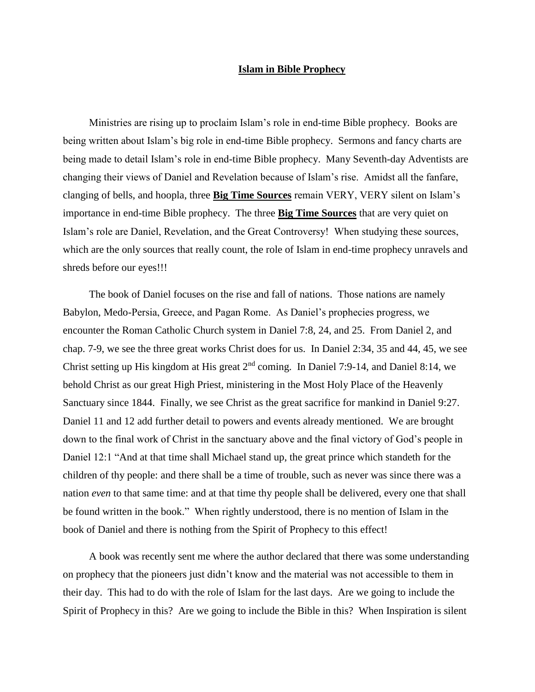## **Islam in Bible Prophecy**

Ministries are rising up to proclaim Islam's role in end-time Bible prophecy. Books are being written about Islam's big role in end-time Bible prophecy. Sermons and fancy charts are being made to detail Islam's role in end-time Bible prophecy. Many Seventh-day Adventists are changing their views of Daniel and Revelation because of Islam's rise. Amidst all the fanfare, clanging of bells, and hoopla, three **Big Time Sources** remain VERY, VERY silent on Islam's importance in end-time Bible prophecy. The three **Big Time Sources** that are very quiet on Islam's role are Daniel, Revelation, and the Great Controversy! When studying these sources, which are the only sources that really count, the role of Islam in end-time prophecy unravels and shreds before our eyes!!!

 The book of Daniel focuses on the rise and fall of nations. Those nations are namely Babylon, Medo-Persia, Greece, and Pagan Rome. As Daniel's prophecies progress, we encounter the Roman Catholic Church system in Daniel 7:8, 24, and 25. From Daniel 2, and chap. 7-9, we see the three great works Christ does for us. In Daniel 2:34, 35 and 44, 45, we see Christ setting up His kingdom at His great  $2<sup>nd</sup>$  coming. In Daniel 7:9-14, and Daniel 8:14, we behold Christ as our great High Priest, ministering in the Most Holy Place of the Heavenly Sanctuary since 1844. Finally, we see Christ as the great sacrifice for mankind in Daniel 9:27. Daniel 11 and 12 add further detail to powers and events already mentioned. We are brought down to the final work of Christ in the sanctuary above and the final victory of God's people in Daniel 12:1 "And at that time shall Michael stand up, the great prince which standeth for the children of thy people: and there shall be a time of trouble, such as never was since there was a nation *even* to that same time: and at that time thy people shall be delivered, every one that shall be found written in the book." When rightly understood, there is no mention of Islam in the book of Daniel and there is nothing from the Spirit of Prophecy to this effect!

 A book was recently sent me where the author declared that there was some understanding on prophecy that the pioneers just didn't know and the material was not accessible to them in their day. This had to do with the role of Islam for the last days. Are we going to include the Spirit of Prophecy in this? Are we going to include the Bible in this? When Inspiration is silent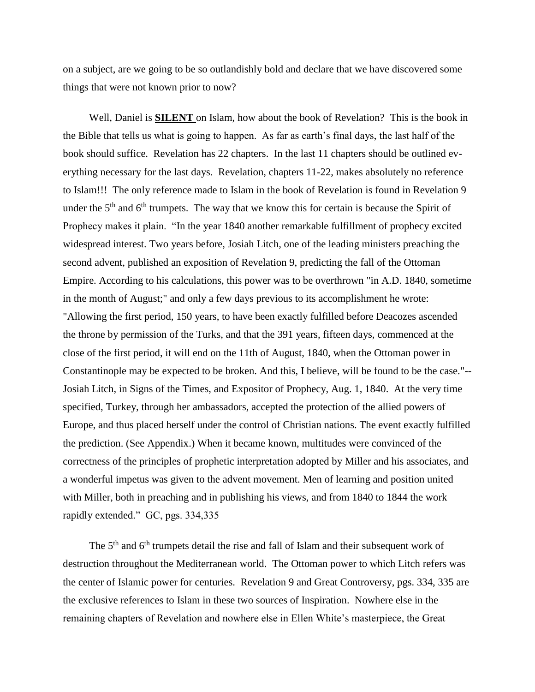on a subject, are we going to be so outlandishly bold and declare that we have discovered some things that were not known prior to now?

 Well, Daniel is **SILENT** on Islam, how about the book of Revelation? This is the book in the Bible that tells us what is going to happen. As far as earth's final days, the last half of the book should suffice. Revelation has 22 chapters. In the last 11 chapters should be outlined everything necessary for the last days. Revelation, chapters 11-22, makes absolutely no reference to Islam!!! The only reference made to Islam in the book of Revelation is found in Revelation 9 under the  $5<sup>th</sup>$  and  $6<sup>th</sup>$  trumpets. The way that we know this for certain is because the Spirit of Prophecy makes it plain. "In the year 1840 another remarkable fulfillment of prophecy excited widespread interest. Two years before, Josiah Litch, one of the leading ministers preaching the second advent, published an exposition of Revelation 9, predicting the fall of the Ottoman Empire. According to his calculations, this power was to be overthrown "in A.D. 1840, sometime in the month of August;" and only a few days previous to its accomplishment he wrote: "Allowing the first period, 150 years, to have been exactly fulfilled before Deacozes ascended the throne by permission of the Turks, and that the 391 years, fifteen days, commenced at the close of the first period, it will end on the 11th of August, 1840, when the Ottoman power in Constantinople may be expected to be broken. And this, I believe, will be found to be the case."-- Josiah Litch, in Signs of the Times, and Expositor of Prophecy, Aug. 1, 1840. At the very time specified, Turkey, through her ambassadors, accepted the protection of the allied powers of Europe, and thus placed herself under the control of Christian nations. The event exactly fulfilled the prediction. (See Appendix.) When it became known, multitudes were convinced of the correctness of the principles of prophetic interpretation adopted by Miller and his associates, and a wonderful impetus was given to the advent movement. Men of learning and position united with Miller, both in preaching and in publishing his views, and from 1840 to 1844 the work rapidly extended." GC, pgs. 334,335

The  $5<sup>th</sup>$  and  $6<sup>th</sup>$  trumpets detail the rise and fall of Islam and their subsequent work of destruction throughout the Mediterranean world. The Ottoman power to which Litch refers was the center of Islamic power for centuries. Revelation 9 and Great Controversy, pgs. 334, 335 are the exclusive references to Islam in these two sources of Inspiration. Nowhere else in the remaining chapters of Revelation and nowhere else in Ellen White's masterpiece, the Great